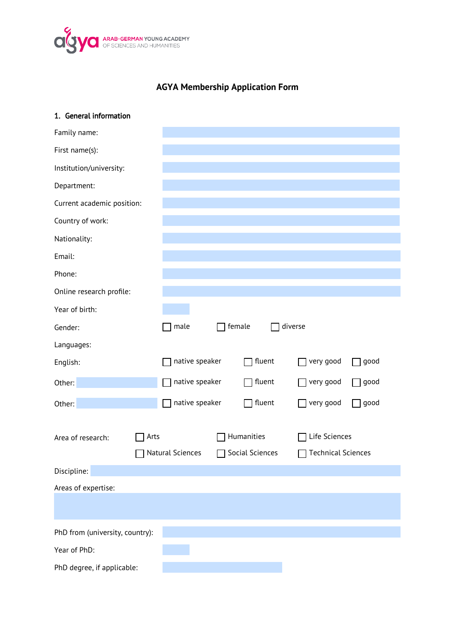

# **AGYA Membership Application Form**

| 1. General information          |      |                  |        |                 |                           |      |
|---------------------------------|------|------------------|--------|-----------------|---------------------------|------|
| Family name:                    |      |                  |        |                 |                           |      |
| First name(s):                  |      |                  |        |                 |                           |      |
| Institution/university:         |      |                  |        |                 |                           |      |
| Department:                     |      |                  |        |                 |                           |      |
| Current academic position:      |      |                  |        |                 |                           |      |
| Country of work:                |      |                  |        |                 |                           |      |
| Nationality:                    |      |                  |        |                 |                           |      |
| Email:                          |      |                  |        |                 |                           |      |
| Phone:                          |      |                  |        |                 |                           |      |
| Online research profile:        |      |                  |        |                 |                           |      |
| Year of birth:                  |      |                  |        |                 |                           |      |
| Gender:                         |      | $\sqsupset$ male | female |                 | diverse                   |      |
| Languages:                      |      |                  |        |                 |                           |      |
| English:                        |      | native speaker   |        | fluent          | very good                 | good |
| Other:                          |      | native speaker   |        | fluent          | very good                 | good |
| Other:                          |      | native speaker   |        | fluent          | very good                 | good |
|                                 |      |                  |        |                 |                           |      |
| Area of research:               | Arts |                  |        | Humanities      | Life Sciences             |      |
|                                 |      | Natural Sciences |        | Social Sciences | <b>Technical Sciences</b> |      |
| Discipline:                     |      |                  |        |                 |                           |      |
| Areas of expertise:             |      |                  |        |                 |                           |      |
|                                 |      |                  |        |                 |                           |      |
| PhD from (university, country): |      |                  |        |                 |                           |      |
| Year of PhD:                    |      |                  |        |                 |                           |      |
| PhD degree, if applicable:      |      |                  |        |                 |                           |      |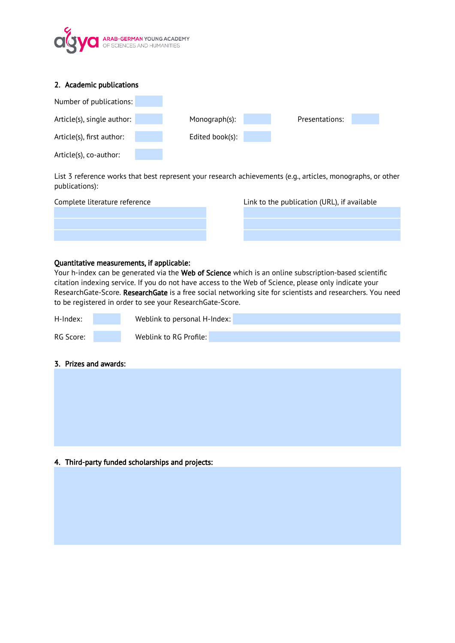

| 2. Academic publications   |                 |                |
|----------------------------|-----------------|----------------|
| Number of publications:    |                 |                |
| Article(s), single author: | Monograph(s):   | Presentations: |
| Article(s), first author:  | Edited book(s): |                |
| Article(s), co-author:     |                 |                |

List 3 reference works that best represent your research achievements (e.g., articles, monographs, or other publications):

| Complete literature reference |  |
|-------------------------------|--|
|                               |  |
|                               |  |
|                               |  |
|                               |  |

Link to the publication (URL), if available

#### Quantitative measurements, if applicable:

Your h-index can be generated via the Web of Science which is an online subscription-based scientific citation indexing service. If you do not have access to the Web of Science, please only indicate your ResearchGate-Score. ResearchGate is a free social networking site for scientists and researchers. You need to be registered in order to see your ResearchGate-Score.

| H-Index:  | Weblink to personal H-Index: |  |
|-----------|------------------------------|--|
|           |                              |  |
| RG Score: | Weblink to RG Profile:       |  |

## 3. Prizes and awards:

4. Third-party funded scholarships and projects: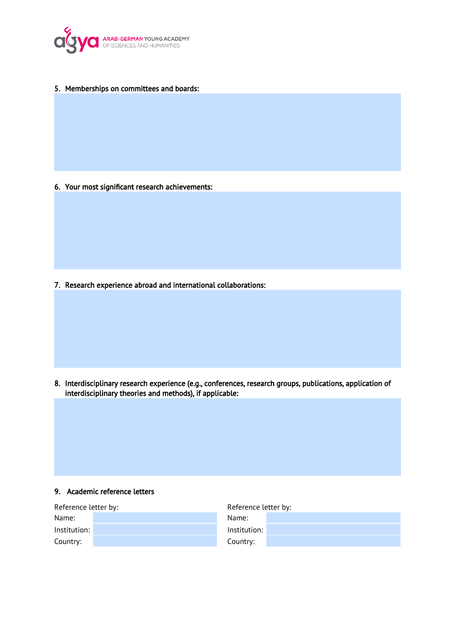

5. Memberships on committees and boards:

6. Your most significant research achievements:

7. Research experience abroad and international collaborations:

8. Interdisciplinary research experience (e.g., conferences, research groups, publications, application of interdisciplinary theories and methods), if applicable:

#### 9. Academic reference letters

| Reference letter by: | Reference letter by: |
|----------------------|----------------------|
| Name:                | Name:                |
| Institution:         | Institution:         |
| Country:             | Country:             |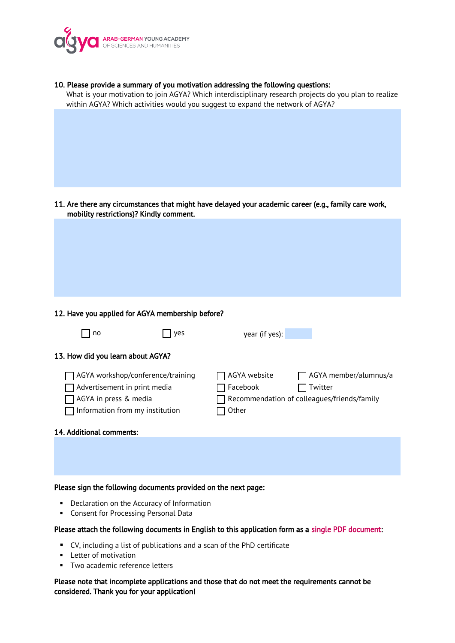

| 10. Please provide a summary of you motivation addressing the following questions:<br>What is your motivation to join AGYA? Which interdisciplinary research projects do you plan to realize<br>within AGYA? Which activities would you suggest to expand the network of AGYA? |
|--------------------------------------------------------------------------------------------------------------------------------------------------------------------------------------------------------------------------------------------------------------------------------|
|                                                                                                                                                                                                                                                                                |
|                                                                                                                                                                                                                                                                                |
| 11. Are there any circumstances that might have delayed your academic career (e.g., family care work,<br>mobility restrictions)? Kindly comment.                                                                                                                               |
|                                                                                                                                                                                                                                                                                |
| 12. Have you applied for AGYA membership before?                                                                                                                                                                                                                               |
| no<br>year (if yes):<br>yes                                                                                                                                                                                                                                                    |
| 13. How did you learn about AGYA?                                                                                                                                                                                                                                              |
| AGYA workshop/conference/training<br>AGYA website<br>AGYA member/alumnus/a<br>Advertisement in print media<br>Facebook<br>Twitter<br>Recommendation of colleagues/friends/family<br>AGYA in press & media<br>Information from my institution<br>Other                          |
| 14. Additional comments:                                                                                                                                                                                                                                                       |
|                                                                                                                                                                                                                                                                                |
| Please sign the following documents provided on the next page:                                                                                                                                                                                                                 |

- Declaration on the Accuracy of Information
- **Consent for Processing Personal Data**

### Please attach the following documents in English to this application form as a single PDF document:

- CV, including a list of publications and a scan of the PhD certificate
- **Letter of motivation**
- **Two academic reference letters**

Please note that incomplete applications and those that do not meet the requirements cannot be considered. Thank you for your application!